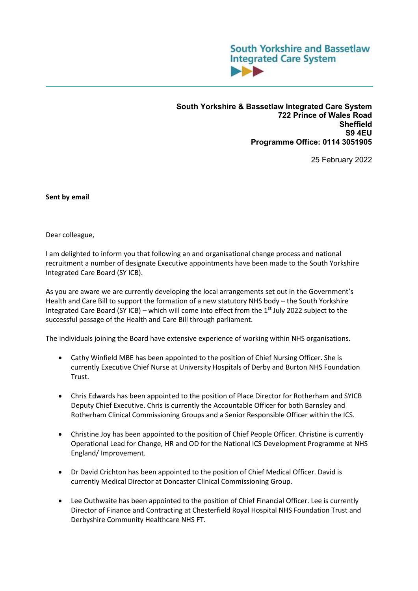

**South Yorkshire & Bassetlaw Integrated Care System 722 Prince of Wales Road Sheffield S9 4EU Programme Office: 0114 3051905** 

25 February 2022

**Sent by email** 

Dear colleague,

I am delighted to inform you that following an and organisational change process and national recruitment a number of designate Executive appointments have been made to the South Yorkshire Integrated Care Board (SY ICB).

As you are aware we are currently developing the local arrangements set out in the Government's Health and Care Bill to support the formation of a new statutory NHS body – the South Yorkshire Integrated Care Board (SY ICB) – which will come into effect from the  $1<sup>st</sup>$  July 2022 subject to the successful passage of the Health and Care Bill through parliament.

The individuals joining the Board have extensive experience of working within NHS organisations.

- Cathy Winfield MBE has been appointed to the position of Chief Nursing Officer. She is currently Executive Chief Nurse at University Hospitals of Derby and Burton NHS Foundation Trust.
- Chris Edwards has been appointed to the position of Place Director for Rotherham and SYICB Deputy Chief Executive. Chris is currently the Accountable Officer for both Barnsley and Rotherham Clinical Commissioning Groups and a Senior Responsible Officer within the ICS.
- Christine Joy has been appointed to the position of Chief People Officer. Christine is currently Operational Lead for Change, HR and OD for the National ICS Development Programme at NHS England/ Improvement.
- Dr David Crichton has been appointed to the position of Chief Medical Officer. David is currently Medical Director at Doncaster Clinical Commissioning Group.
- Lee Outhwaite has been appointed to the position of Chief Financial Officer. Lee is currently Director of Finance and Contracting at Chesterfield Royal Hospital NHS Foundation Trust and Derbyshire Community Healthcare NHS FT.